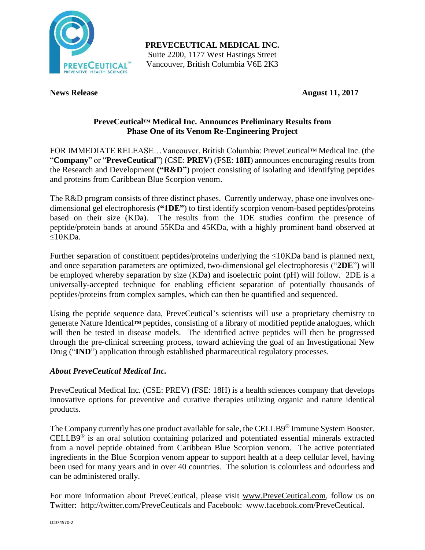

**PREVECEUTICAL MEDICAL INC.** Suite 2200, 1177 West Hastings Street Vancouver, British Columbia V6E 2K3

**News Release August 11, 2017** 

# **PreveCeutical™ Medical Inc. Announces Preliminary Results from Phase One of its Venom Re-Engineering Project**

FOR IMMEDIATE RELEASE…Vancouver, British Columbia: PreveCeutical™ Medical Inc. (the "**Company**" or "**PreveCeutical**") (CSE: **PREV**) (FSE: **18H**) announces encouraging results from the Research and Development **("R&D"**) project consisting of isolating and identifying peptides and proteins from Caribbean Blue Scorpion venom.

The R&D program consists of three distinct phases. Currently underway, phase one involves onedimensional gel electrophoresis **("1DE"**) to first identify scorpion venom-based peptides/proteins based on their size (KDa). The results from the 1DE studies confirm the presence of peptide/protein bands at around 55KDa and 45KDa, with a highly prominent band observed at  $\leq$ 10KDa.

Further separation of constituent peptides/proteins underlying the ≤10KDa band is planned next, and once separation parameters are optimized, two-dimensional gel electrophoresis ("**2DE**") will be employed whereby separation by size (KDa) and isoelectric point (pH) will follow. 2DE is a universally-accepted technique for enabling efficient separation of potentially thousands of peptides/proteins from complex samples, which can then be quantified and sequenced.

Using the peptide sequence data, PreveCeutical's scientists will use a proprietary chemistry to generate Nature Identical**™** peptides, consisting of a library of modified peptide analogues, which will then be tested in disease models. The identified active peptides will then be progressed through the pre-clinical screening process, toward achieving the goal of an Investigational New Drug ("**IND**") application through established pharmaceutical regulatory processes.

# *About PreveCeutical Medical Inc.*

PreveCeutical Medical Inc. (CSE: PREV) (FSE: 18H) is a health sciences company that develops innovative options for preventive and curative therapies utilizing organic and nature identical products.

The Company currently has one product available for sale, the CELLB9<sup>®</sup> Immune System Booster. CELLB9® is an oral solution containing polarized and potentiated essential minerals extracted from a novel peptide obtained from Caribbean Blue Scorpion venom. The active potentiated ingredients in the Blue Scorpion venom appear to support health at a deep cellular level, having been used for many years and in over 40 countries. The solution is colourless and odourless and can be administered orally.

For more information about PreveCeutical, please visit www.PreveCeutical.com, follow us on Twitter: http://twitter.com/PreveCeuticals and Facebook: www.facebook.com/PreveCeutical.